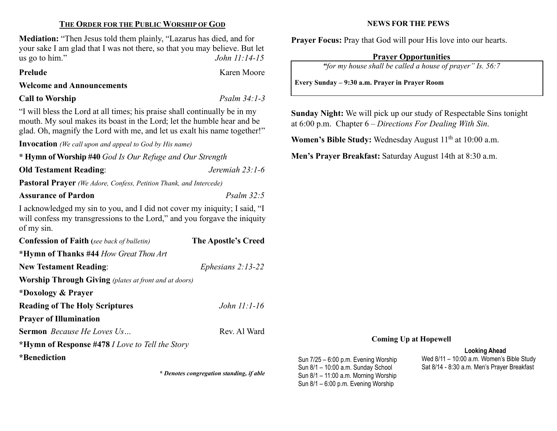# THE ORDER FOR THE PUBLIC WORSHIP OF GOD

Mediation: "Then Jesus told them plainly, "Lazarus has died, and for your sake I am glad that I was not there, so that you may believe. But let us go to him."  $John 11:14-15$ 

Prelude Karen Moore

# Welcome and Announcements

Call to Worship Psalm 34:1-3

"I will bless the Lord at all times; his praise shall continually be in my mouth. My soul makes its boast in the Lord; let the humble hear and be glad. Oh, magnify the Lord with me, and let us exalt his name together!"

Invocation (We call upon and appeal to God by His name)

\* Hymn of Worship #40 God Is Our Refuge and Our Strength

Old Testament Reading: Jeremiah 23:1-6

Pastoral Prayer (We Adore, Confess, Petition Thank, and Intercede)

Assurance of Pardon **Property** 22:5

I acknowledged my sin to you, and I did not cover my iniquity; I said, "I will confess my transgressions to the Lord," and you for gave the iniquity of my sin.

| <b>Confession of Faith</b> (see back of bulletin)            | The Apostle's Creed |  |
|--------------------------------------------------------------|---------------------|--|
| *Hymn of Thanks #44 How Great Thou Art                       |                     |  |
| <b>New Testament Reading:</b>                                | Ephesians $2:13-22$ |  |
| <b>Worship Through Giving</b> (plates at front and at doors) |                     |  |
| *Doxology & Prayer                                           |                     |  |
| <b>Reading of The Holy Scriptures</b>                        | John $11:1-16$      |  |
| <b>Prayer of Illumination</b>                                |                     |  |
| <b>Sermon</b> <i>Because He Loves Us</i>                     | Rev. Al Ward        |  |
| *Hymn of Response #478 <i>I Love to Tell the Story</i>       |                     |  |
|                                                              |                     |  |

\*Benediction

\* Denotes congregation standing, if able

NEWS FOR THE PEWS

Prayer Focus: Pray that God will pour His love into our hearts.

# Prayer Opportunities

"for my house shall be called a house of prayer" Is. 56:7

Every Sunday – 9:30 a.m. Prayer in Prayer Room

Sunday Night: We will pick up our study of Respectable Sins tonight at 6:00 p.m. Chapter 6 – Directions For Dealing With Sin.

Women's Bible Study: Wednesday August  $11<sup>th</sup>$  at  $10:00$  a.m.

Men's Prayer Breakfast: Saturday August 14th at 8:30 a.m.

## Coming Up at Hopewell

Sun 7/25 – 6:00 p.m. Evening Worship Sun 8/1 – 10:00 a.m. Sunday School Sun 8/1 – 11:00 a.m. Morning Worship Sun 8/1 – 6:00 p.m. Evening Worship

### Looking Ahead

Wed 8/11 – 10:00 a.m. Women's Bible Study Sat 8/14 - 8:30 a.m. Men's Prayer Breakfast